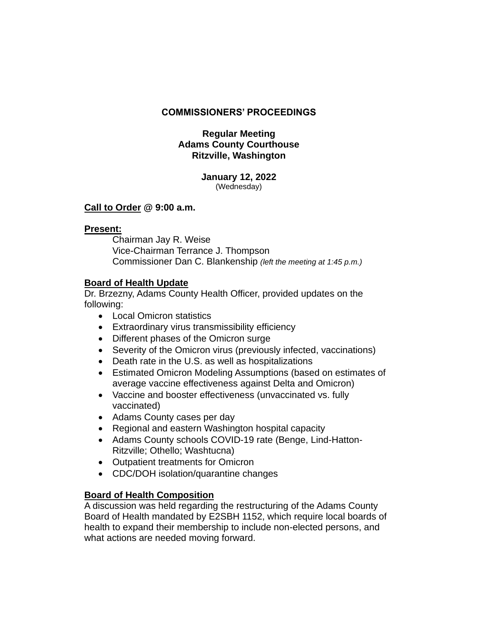## **COMMISSIONERS' PROCEEDINGS**

## **Regular Meeting Adams County Courthouse Ritzville, Washington**

#### **January 12, 2022** (Wednesday)

### **Call to Order @ 9:00 a.m.**

# **Present:**

Chairman Jay R. Weise Vice-Chairman Terrance J. Thompson Commissioner Dan C. Blankenship *(left the meeting at 1:45 p.m.)*

# **Board of Health Update**

Dr. Brzezny, Adams County Health Officer, provided updates on the following:

- Local Omicron statistics
- Extraordinary virus transmissibility efficiency
- Different phases of the Omicron surge
- Severity of the Omicron virus (previously infected, vaccinations)
- Death rate in the U.S. as well as hospitalizations
- Estimated Omicron Modeling Assumptions (based on estimates of average vaccine effectiveness against Delta and Omicron)
- Vaccine and booster effectiveness (unvaccinated vs. fully vaccinated)
- Adams County cases per day
- Regional and eastern Washington hospital capacity
- Adams County schools COVID-19 rate (Benge, Lind-Hatton-Ritzville; Othello; Washtucna)
- Outpatient treatments for Omicron
- CDC/DOH isolation/quarantine changes

# **Board of Health Composition**

A discussion was held regarding the restructuring of the Adams County Board of Health mandated by E2SBH 1152, which require local boards of health to expand their membership to include non-elected persons, and what actions are needed moving forward.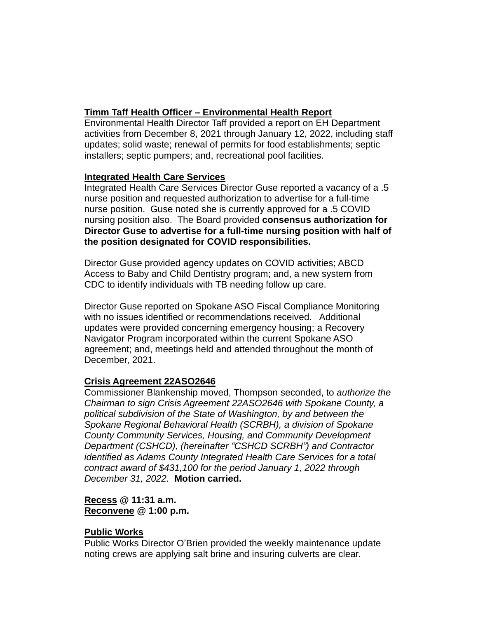# **Timm Taff Health Officer – Environmental Health Report**

Environmental Health Director Taff provided a report on EH Department activities from December 8, 2021 through January 12, 2022, including staff updates; solid waste; renewal of permits for food establishments; septic installers; septic pumpers; and, recreational pool facilities.

### **Integrated Health Care Services**

Integrated Health Care Services Director Guse reported a vacancy of a .5 nurse position and requested authorization to advertise for a full-time nurse position. Guse noted she is currently approved for a .5 COVID nursing position also. The Board provided **consensus authorization for Director Guse to advertise for a full-time nursing position with half of the position designated for COVID responsibilities.** 

Director Guse provided agency updates on COVID activities; ABCD Access to Baby and Child Dentistry program; and, a new system from CDC to identify individuals with TB needing follow up care.

Director Guse reported on Spokane ASO Fiscal Compliance Monitoring with no issues identified or recommendations received. Additional updates were provided concerning emergency housing; a Recovery Navigator Program incorporated within the current Spokane ASO agreement; and, meetings held and attended throughout the month of December, 2021.

# **Crisis Agreement 22ASO2646**

Commissioner Blankenship moved, Thompson seconded, to *authorize the Chairman to sign Crisis Agreement 22ASO2646 with Spokane County, a political subdivision of the State of Washington, by and between the Spokane Regional Behavioral Health (SCRBH), a division of Spokane County Community Services, Housing, and Community Development Department (CSHCD), (hereinafter "CSHCD SCRBH") and Contractor identified as Adams County Integrated Health Care Services for a total contract award of \$431,100 for the period January 1, 2022 through December 31, 2022.* **Motion carried.**

### **Recess @ 11:31 a.m. Reconvene @ 1:00 p.m.**

### **Public Works**

Public Works Director O'Brien provided the weekly maintenance update noting crews are applying salt brine and insuring culverts are clear.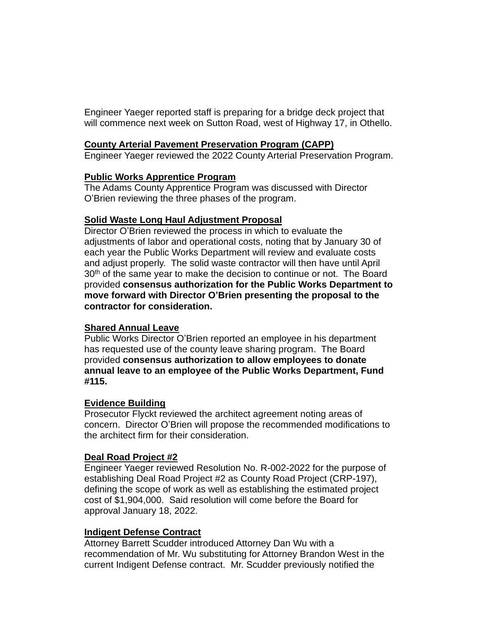Engineer Yaeger reported staff is preparing for a bridge deck project that will commence next week on Sutton Road, west of Highway 17, in Othello.

#### **County Arterial Pavement Preservation Program (CAPP)**

Engineer Yaeger reviewed the 2022 County Arterial Preservation Program.

#### **Public Works Apprentice Program**

The Adams County Apprentice Program was discussed with Director O'Brien reviewing the three phases of the program.

### **Solid Waste Long Haul Adjustment Proposal**

Director O'Brien reviewed the process in which to evaluate the adjustments of labor and operational costs, noting that by January 30 of each year the Public Works Department will review and evaluate costs and adjust properly. The solid waste contractor will then have until April 30<sup>th</sup> of the same year to make the decision to continue or not. The Board provided **consensus authorization for the Public Works Department to move forward with Director O'Brien presenting the proposal to the contractor for consideration.**

### **Shared Annual Leave**

Public Works Director O'Brien reported an employee in his department has requested use of the county leave sharing program. The Board provided **consensus authorization to allow employees to donate annual leave to an employee of the Public Works Department, Fund #115.**

#### **Evidence Building**

Prosecutor Flyckt reviewed the architect agreement noting areas of concern. Director O'Brien will propose the recommended modifications to the architect firm for their consideration.

### **Deal Road Project #2**

Engineer Yaeger reviewed Resolution No. R-002-2022 for the purpose of establishing Deal Road Project #2 as County Road Project (CRP-197), defining the scope of work as well as establishing the estimated project cost of \$1,904,000. Said resolution will come before the Board for approval January 18, 2022.

### **Indigent Defense Contract**

Attorney Barrett Scudder introduced Attorney Dan Wu with a recommendation of Mr. Wu substituting for Attorney Brandon West in the current Indigent Defense contract. Mr. Scudder previously notified the